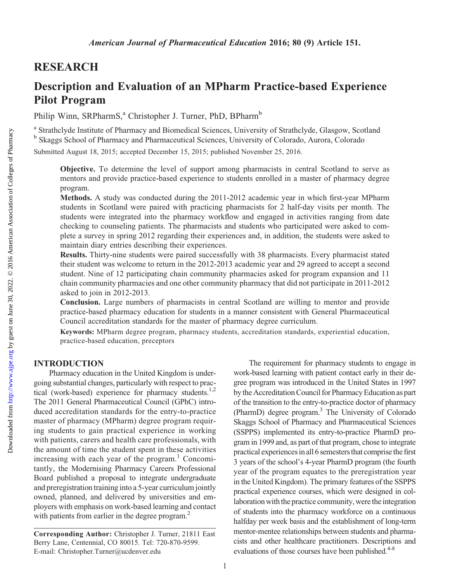## RESEARCH

# Description and Evaluation of an MPharm Practice-based Experience Pilot Program

Philip Winn, SRPharmS,<sup>a</sup> Christopher J. Turner, PhD, BPharm<sup>b</sup>

<sup>a</sup> Strathclyde Institute of Pharmacy and Biomedical Sciences, University of Strathclyde, Glasgow, Scotland <sup>b</sup> Skaggs School of Pharmacy and Pharmaceutical Sciences, University of Colorado, Aurora, Colorado

Submitted August 18, 2015; accepted December 15, 2015; published November 25, 2016.

Objective. To determine the level of support among pharmacists in central Scotland to serve as mentors and provide practice-based experience to students enrolled in a master of pharmacy degree program.

Methods. A study was conducted during the 2011-2012 academic year in which first-year MPharm students in Scotland were paired with practicing pharmacists for 2 half-day visits per month. The students were integrated into the pharmacy workflow and engaged in activities ranging from date checking to counseling patients. The pharmacists and students who participated were asked to complete a survey in spring 2012 regarding their experiences and, in addition, the students were asked to maintain diary entries describing their experiences.

Results. Thirty-nine students were paired successfully with 38 pharmacists. Every pharmacist stated their student was welcome to return in the 2012-2013 academic year and 29 agreed to accept a second student. Nine of 12 participating chain community pharmacies asked for program expansion and 11 chain community pharmacies and one other community pharmacy that did not participate in 2011-2012 asked to join in 2012-2013.

Conclusion. Large numbers of pharmacists in central Scotland are willing to mentor and provide practice-based pharmacy education for students in a manner consistent with General Pharmaceutical Council accreditation standards for the master of pharmacy degree curriculum.

Keywords: MPharm degree program, pharmacy students, accreditation standards, experiential education, practice-based education, preceptors

## INTRODUCTION

Pharmacy education in the United Kingdom is undergoing substantial changes, particularly with respect to practical (work-based) experience for pharmacy students.<sup>1,2</sup> The 2011 General Pharmaceutical Council (GPhC) introduced accreditation standards for the entry-to-practice master of pharmacy (MPharm) degree program requiring students to gain practical experience in working with patients, carers and health care professionals, with the amount of time the student spent in these activities increasing with each year of the program. $\frac{1}{1}$  Concomitantly, the Modernising Pharmacy Careers Professional Board published a proposal to integrate undergraduate and preregistration training into a 5-year curriculum jointly owned, planned, and delivered by universities and employers with emphasis on work-based learning and contact with patients from earlier in the degree program.<sup>2</sup>

The requirement for pharmacy students to engage in work-based learning with patient contact early in their degree program was introduced in the United States in 1997 by the Accreditation Council for Pharmacy Education as part of the transition to the entry-to-practice doctor of pharmacy (PharmD) degree program.3 The University of Colorado Skaggs School of Pharmacy and Pharmaceutical Sciences (SSPPS) implemented its entry-to-practice PharmD program in 1999 and, as part of that program, chose to integrate practical experiences in all 6 semesters that comprise the first 3 years of the school's 4-year PharmD program (the fourth year of the program equates to the preregistration year in the United Kingdom). The primary features of the SSPPS practical experience courses, which were designed in collaboration with the practice community, were the integration of students into the pharmacy workforce on a continuous halfday per week basis and the establishment of long-term mentor-mentee relationships between students and pharmacists and other healthcare practitioners. Descriptions and evaluations of those courses have been published. $4-8$ 

Corresponding Author: Christopher J. Turner, 21811 East Berry Lane, Centennial, CO 80015. Tel: 720-870-9599. E-mail: [Christopher.Turner@ucdenver.edu](mailto:Christopher.Turner@ucdenver.edu)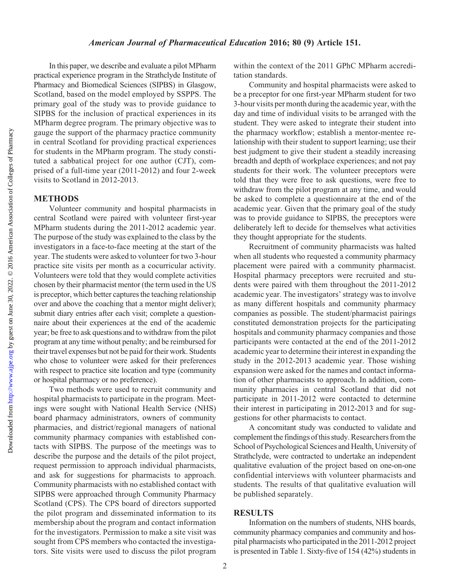#### American Journal of Pharmaceutical Education 2016; 80 (9) Article 151.

In this paper, we describe and evaluate a pilot MPharm practical experience program in the Strathclyde Institute of Pharmacy and Biomedical Sciences (SIPBS) in Glasgow, Scotland, based on the model employed by SSPPS. The primary goal of the study was to provide guidance to SIPBS for the inclusion of practical experiences in its MPharm degree program. The primary objective was to gauge the support of the pharmacy practice community in central Scotland for providing practical experiences for students in the MPharm program. The study constituted a sabbatical project for one author (CJT), comprised of a full-time year (2011-2012) and four 2-week visits to Scotland in 2012-2013.

#### METHODS

Volunteer community and hospital pharmacists in central Scotland were paired with volunteer first-year MPharm students during the 2011-2012 academic year. The purpose of the study was explained to the class by the investigators in a face-to-face meeting at the start of the year. The students were asked to volunteer for two 3-hour practice site visits per month as a cocurricular activity. Volunteers were told that they would complete activities chosen by their pharmacist mentor (the term used in the US is preceptor, which better captures the teaching relationship over and above the coaching that a mentor might deliver); submit diary entries after each visit; complete a questionnaire about their experiences at the end of the academic year; be free to ask questions and to withdraw from the pilot program at any time without penalty; and be reimbursed for their travel expenses but not be paid for their work. Students who chose to volunteer were asked for their preferences with respect to practice site location and type (community or hospital pharmacy or no preference).

Two methods were used to recruit community and hospital pharmacists to participate in the program. Meetings were sought with National Health Service (NHS) board pharmacy administrators, owners of community pharmacies, and district/regional managers of national community pharmacy companies with established contacts with SIPBS. The purpose of the meetings was to describe the purpose and the details of the pilot project, request permission to approach individual pharmacists, and ask for suggestions for pharmacists to approach. Community pharmacists with no established contact with SIPBS were approached through Community Pharmacy Scotland (CPS). The CPS board of directors supported the pilot program and disseminated information to its membership about the program and contact information for the investigators. Permission to make a site visit was sought from CPS members who contacted the investigators. Site visits were used to discuss the pilot program

within the context of the 2011 GPhC MPharm accreditation standards.

Community and hospital pharmacists were asked to be a preceptor for one first-year MPharm student for two 3-hour visits per month during the academic year, with the day and time of individual visits to be arranged with the student. They were asked to integrate their student into the pharmacy workflow; establish a mentor-mentee relationship with their student to support learning; use their best judgment to give their student a steadily increasing breadth and depth of workplace experiences; and not pay students for their work. The volunteer preceptors were told that they were free to ask questions, were free to withdraw from the pilot program at any time, and would be asked to complete a questionnaire at the end of the academic year. Given that the primary goal of the study was to provide guidance to SIPBS, the preceptors were deliberately left to decide for themselves what activities they thought appropriate for the students.

Recruitment of community pharmacists was halted when all students who requested a community pharmacy placement were paired with a community pharmacist. Hospital pharmacy preceptors were recruited and students were paired with them throughout the 2011-2012 academic year. The investigators' strategy was to involve as many different hospitals and community pharmacy companies as possible. The student/pharmacist pairings constituted demonstration projects for the participating hospitals and community pharmacy companies and those participants were contacted at the end of the 2011-2012 academic year to determine their interest in expanding the study in the 2012-2013 academic year. Those wishing expansion were asked for the names and contact information of other pharmacists to approach. In addition, community pharmacies in central Scotland that did not participate in 2011-2012 were contacted to determine their interest in participating in 2012-2013 and for suggestions for other pharmacists to contact.

A concomitant study was conducted to validate and complement the findings of this study. Researchers from the School of Psychological Sciences and Health, University of Strathclyde, were contracted to undertake an independent qualitative evaluation of the project based on one-on-one confidential interviews with volunteer pharmacists and students. The results of that qualitative evaluation will be published separately.

#### **RESULTS**

Information on the numbers of students, NHS boards, community pharmacy companies and community and hospital pharmacists who participated in the 2011-2012 project is presented in Table 1. Sixty-five of 154 (42%) students in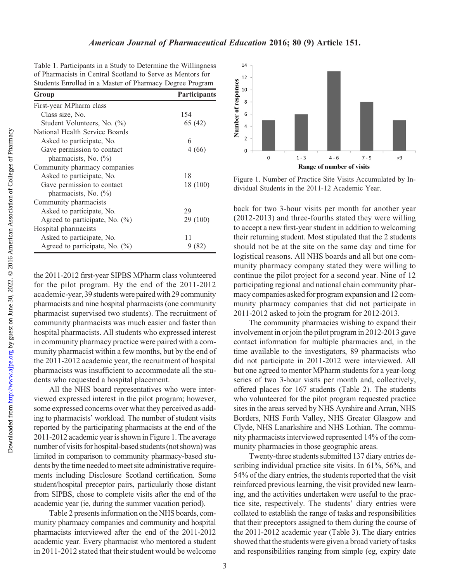Table 1. Participants in a Study to Determine the Willingness of Pharmacists in Central Scotland to Serve as Mentors for Students Enrolled in a Master of Pharmacy Degree Program

| Group                             | Participants |  |
|-----------------------------------|--------------|--|
| First-year MPharm class           |              |  |
| Class size, No.                   | 154          |  |
| Student Volunteers, No. (%)       | 65 (42)      |  |
| National Health Service Boards    |              |  |
| Asked to participate, No.         | 6            |  |
| Gave permission to contact        | 4 (66)       |  |
| pharmacists, No. (%)              |              |  |
| Community pharmacy companies      |              |  |
| Asked to participate, No.         | 18           |  |
| Gave permission to contact        | 18 (100)     |  |
| pharmacists, No. (%)              |              |  |
| Community pharmacists             |              |  |
| Asked to participate, No.         | 29           |  |
| Agreed to participate, No. $(\%)$ | 29 (100)     |  |
| Hospital pharmacists              |              |  |
| Asked to participate, No.         | 11           |  |
| Agreed to participate, No. $(\%)$ |              |  |
|                                   |              |  |

the 2011-2012 first-year SIPBS MPharm class volunteered for the pilot program. By the end of the 2011-2012 academic-year, 39 students were paired with 29 community pharmacists and nine hospital pharmacists (one community pharmacist supervised two students). The recruitment of community pharmacists was much easier and faster than hospital pharmacists. All students who expressed interest in community pharmacy practice were paired with a community pharmacist within a few months, but by the end of the 2011-2012 academic year, the recruitment of hospital pharmacists was insufficient to accommodate all the students who requested a hospital placement.

All the NHS board representatives who were interviewed expressed interest in the pilot program; however, some expressed concerns over what they perceived as adding to pharmacists' workload. The number of student visits reported by the participating pharmacists at the end of the 2011-2012 academic year is shown in Figure 1. The average number of visits for hospital-based students (not shown) was limited in comparison to community pharmacy-based students by the time needed to meet site administrative requirements including Disclosure Scotland certification. Some student/hospital preceptor pairs, particularly those distant from SIPBS, chose to complete visits after the end of the academic year (ie, during the summer vacation period).

Table 2 presents information on the NHS boards, community pharmacy companies and community and hospital pharmacists interviewed after the end of the 2011-2012 academic year. Every pharmacist who mentored a student in 2011-2012 stated that their student would be welcome



Figure 1. Number of Practice Site Visits Accumulated by Individual Students in the 2011-12 Academic Year.

back for two 3-hour visits per month for another year (2012-2013) and three-fourths stated they were willing to accept a new first-year student in addition to welcoming their returning student. Most stipulated that the 2 students should not be at the site on the same day and time for logistical reasons. All NHS boards and all but one community pharmacy company stated they were willing to continue the pilot project for a second year. Nine of 12 participating regional and national chain community pharmacy companies asked for program expansion and 12 community pharmacy companies that did not participate in 2011-2012 asked to join the program for 2012-2013.

The community pharmacies wishing to expand their involvement in or join the pilot program in 2012-2013 gave contact information for multiple pharmacies and, in the time available to the investigators, 89 pharmacists who did not participate in 2011-2012 were interviewed. All but one agreed to mentor MPharm students for a year-long series of two 3-hour visits per month and, collectively, offered places for 167 students (Table 2). The students who volunteered for the pilot program requested practice sites in the areas served by NHS Ayrshire and Arran, NHS Borders, NHS Forth Valley, NHS Greater Glasgow and Clyde, NHS Lanarkshire and NHS Lothian. The community pharmacists interviewed represented 14% of the community pharmacies in those geographic areas.

Twenty-three students submitted 137 diary entries describing individual practice site visits. In 61%, 56%, and 54% of the diary entries, the students reported that the visit reinforced previous learning, the visit provided new learning, and the activities undertaken were useful to the practice site, respectively. The students' diary entries were collated to establish the range of tasks and responsibilities that their preceptors assigned to them during the course of the 2011-2012 academic year (Table 3). The diary entries showed that the students were given a broad variety of tasks and responsibilities ranging from simple (eg, expiry date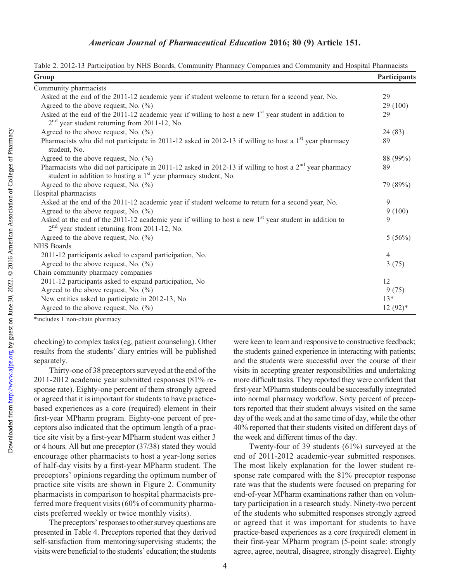Table 2. 2012-13 Participation by NHS Boards, Community Pharmacy Companies and Community and Hospital Pharmacists

| Group                                                                                                                                                                                             |                |
|---------------------------------------------------------------------------------------------------------------------------------------------------------------------------------------------------|----------------|
| Community pharmacists                                                                                                                                                                             |                |
| Asked at the end of the 2011-12 academic year if student welcome to return for a second year, No.                                                                                                 | 29             |
| Agreed to the above request, No. $(\%)$                                                                                                                                                           |                |
| Asked at the end of the 2011-12 academic year if willing to host a new $1st$ year student in addition to<br>$2nd$ year student returning from 2011-12, No.                                        | 29 (100)<br>29 |
| Agreed to the above request, No. $(\% )$                                                                                                                                                          | 24 (83)        |
| Pharmacists who did not participate in 2011-12 asked in 2012-13 if willing to host a $1st$ year pharmacy<br>student, No.                                                                          | 89             |
| Agreed to the above request, No. $(\%)$                                                                                                                                                           | 88 (99%)       |
| Pharmacists who did not participate in 2011-12 asked in 2012-13 if willing to host a 2 <sup>nd</sup> year pharmacy<br>student in addition to hosting a 1 <sup>st</sup> year pharmacy student, No. | 89             |
| Agreed to the above request, No. $(\%)$                                                                                                                                                           | 79 (89%)       |
| Hospital pharmacists                                                                                                                                                                              |                |
| Asked at the end of the 2011-12 academic year if student welcome to return for a second year, No.                                                                                                 | 9              |
| Agreed to the above request, No. $(\% )$                                                                                                                                                          |                |
| Asked at the end of the 2011-12 academic year if willing to host a new $1st$ year student in addition to<br>$2nd$ year student returning from 2011-12, No.                                        | 9              |
| Agreed to the above request, No. $(\%)$                                                                                                                                                           | 5(56%)         |
| NHS Boards                                                                                                                                                                                        |                |
| 2011-12 participants asked to expand participation, No.                                                                                                                                           | $\overline{4}$ |
| Agreed to the above request, No. $(\%)$                                                                                                                                                           | 3(75)          |
| Chain community pharmacy companies                                                                                                                                                                |                |
| 2011-12 participants asked to expand participation, No                                                                                                                                            | 12             |
| Agreed to the above request, No. $(\% )$                                                                                                                                                          | 9(75)          |
| New entities asked to participate in 2012-13, No                                                                                                                                                  | $13*$          |
| Agreed to the above request, No. $(\%)$                                                                                                                                                           | $12(92)*$      |

\*includes 1 non-chain pharmacy

checking) to complex tasks (eg, patient counseling). Other results from the students' diary entries will be published separately.

Thirty-one of 38 preceptors surveyed at the end of the 2011-2012 academic year submitted responses (81% response rate). Eighty-one percent of them strongly agreed or agreed that it is important for students to have practicebased experiences as a core (required) element in their first-year MPharm program. Eighty-one percent of preceptors also indicated that the optimum length of a practice site visit by a first-year MPharm student was either 3 or 4 hours. All but one preceptor (37/38) stated they would encourage other pharmacists to host a year-long series of half-day visits by a first-year MPharm student. The preceptors' opinions regarding the optimum number of practice site visits are shown in Figure 2. Community pharmacists in comparison to hospital pharmacists preferred more frequent visits (60% of community pharmacists preferred weekly or twice monthly visits).

The preceptors' responses to other survey questions are presented in Table 4. Preceptors reported that they derived self-satisfaction from mentoring/supervising students; the visits were beneficial to the students' education; the students

were keen to learn and responsive to constructive feedback; the students gained experience in interacting with patients; and the students were successful over the course of their visits in accepting greater responsibilities and undertaking more difficult tasks. They reported they were confident that first-year MPharm students could be successfully integrated into normal pharmacy workflow. Sixty percent of preceptors reported that their student always visited on the same day of the week and at the same time of day, while the other 40% reported that their students visited on different days of the week and different times of the day.

Twenty-four of 39 students (61%) surveyed at the end of 2011-2012 academic-year submitted responses. The most likely explanation for the lower student response rate compared with the 81% preceptor response rate was that the students were focused on preparing for end-of-year MPharm examinations rather than on voluntary participation in a research study. Ninety-two percent of the students who submitted responses strongly agreed or agreed that it was important for students to have practice-based experiences as a core (required) element in their first-year MPharm program (5-point scale: strongly agree, agree, neutral, disagree, strongly disagree). Eighty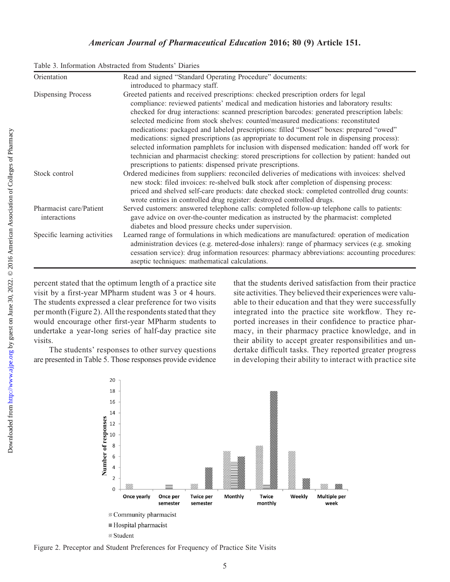#### American Journal of Pharmaceutical Education 2016; 80 (9) Article 151.

| Table 3. Information Abstracted from Students' Diaries |
|--------------------------------------------------------|
|--------------------------------------------------------|

| Orientation                  | Read and signed "Standard Operating Procedure" documents:                                      |
|------------------------------|------------------------------------------------------------------------------------------------|
|                              | introduced to pharmacy staff.                                                                  |
| Dispensing Process           | Greeted patients and received prescriptions: checked prescription orders for legal             |
|                              | compliance: reviewed patients' medical and medication histories and laboratory results:        |
|                              | checked for drug interactions: scanned prescription barcodes: generated prescription labels:   |
|                              | selected medicine from stock shelves: counted/measured medications: reconstituted              |
|                              | medications: packaged and labeled prescriptions: filled "Dosset" boxes: prepared "owed"        |
|                              | medications: signed prescriptions (as appropriate to document role in dispensing process):     |
|                              | selected information pamphlets for inclusion with dispensed medication: handed off work for    |
|                              | technician and pharmacist checking: stored prescriptions for collection by patient: handed out |
|                              | prescriptions to patients: dispensed private prescriptions.                                    |
| Stock control                | Ordered medicines from suppliers: reconciled deliveries of medications with invoices: shelved  |
|                              | new stock: filed invoices: re-shelved bulk stock after completion of dispensing process:       |
|                              | priced and shelved self-care products: date checked stock: completed controlled drug counts:   |
|                              | wrote entries in controlled drug register: destroyed controlled drugs.                         |
| Pharmacist care/Patient      | Served customers: answered telephone calls: completed follow-up telephone calls to patients:   |
| interactions                 | gave advice on over-the-counter medication as instructed by the pharmacist: completed          |
|                              | diabetes and blood pressure checks under supervision.                                          |
| Specific learning activities | Learned range of formulations in which medications are manufactured: operation of medication   |
|                              | administration devices (e.g. metered-dose inhalers): range of pharmacy services (e.g. smoking  |
|                              | cessation service): drug information resources: pharmacy abbreviations: accounting procedures: |
|                              | aseptic techniques: mathematical calculations.                                                 |

percent stated that the optimum length of a practice site visit by a first-year MPharm student was 3 or 4 hours. The students expressed a clear preference for two visits per month (Figure 2). All the respondents stated that they would encourage other first-year MPharm students to undertake a year-long series of half-day practice site visits.

The students' responses to other survey questions are presented in Table 5. Those responses provide evidence that the students derived satisfaction from their practice site activities. They believed their experiences were valuable to their education and that they were successfully integrated into the practice site workflow. They reported increases in their confidence to practice pharmacy, in their pharmacy practice knowledge, and in their ability to accept greater responsibilities and undertake difficult tasks. They reported greater progress in developing their ability to interact with practice site



Figure 2. Preceptor and Student Preferences for Frequency of Practice Site Visits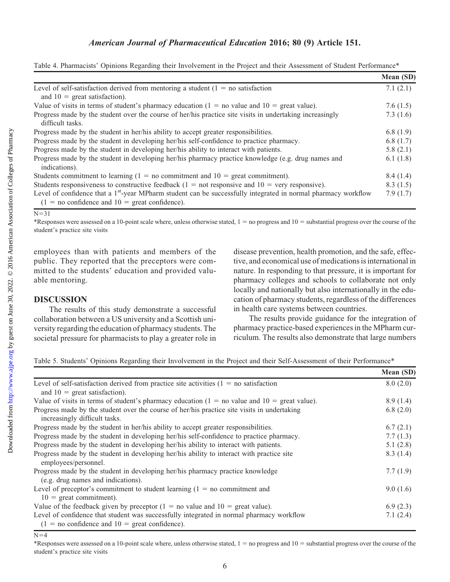## American Journal of Pharmaceutical Education 2016; 80 (9) Article 151.

|                                                                                                                                                                                | Mean (SD)   |
|--------------------------------------------------------------------------------------------------------------------------------------------------------------------------------|-------------|
| Level of self-satisfaction derived from mentoring a student $(1 = no$ satisfaction                                                                                             | 7.1(2.1)    |
| and $10 =$ great satisfaction).                                                                                                                                                |             |
| Value of visits in terms of student's pharmacy education $(1 = no$ value and $10 =$ great value).                                                                              | 7.6 $(1.5)$ |
| Progress made by the student over the course of her/his practice site visits in undertaking increasingly<br>difficult tasks.                                                   | 7.3(1.6)    |
| Progress made by the student in her/his ability to accept greater responsibilities.                                                                                            | 6.8(1.9)    |
| Progress made by the student in developing her/his self-confidence to practice pharmacy.                                                                                       | 6.8(1.7)    |
| Progress made by the student in developing her/his ability to interact with patients.                                                                                          | 5.8(2.1)    |
| Progress made by the student in developing her/his pharmacy practice knowledge (e.g. drug names and<br>indications).                                                           | 6.1 $(1.8)$ |
| Students commitment to learning $(1 = no$ commitment and $10 =$ great commitment).                                                                                             | 8.4(1.4)    |
| Students responsiveness to constructive feedback $(1 = not$ responsive and $10 =$ very responsive).                                                                            | 8.3(1.5)    |
| Level of confidence that a 1 <sup>st</sup> -year MPharm student can be successfully integrated in normal pharmacy workflow<br>$(1 = no confidence and 10 = great confidence).$ | 7.9(1.7)    |

Table 4. Pharmacists' Opinions Regarding their Involvement in the Project and their Assessment of Student Performance\*

## $\overline{N=31}$

\*Responses were assessed on a 10-point scale where, unless otherwise stated,  $1 =$  no progress and  $10 =$  substantial progress over the course of the student's practice site visits

employees than with patients and members of the public. They reported that the preceptors were committed to the students' education and provided valuable mentoring.

### DISCUSSION

The results of this study demonstrate a successful collaboration between a US university and a Scottish university regarding the education of pharmacy students. The societal pressure for pharmacists to play a greater role in disease prevention, health promotion, and the safe, effective, and economical use of medications is international in nature. In responding to that pressure, it is important for pharmacy colleges and schools to collaborate not only locally and nationally but also internationally in the education of pharmacy students, regardless of the differences in health care systems between countries.

The results provide guidance for the integration of pharmacy practice-based experiences in the MPharm curriculum. The results also demonstrate that large numbers

Table 5. Students' Opinions Regarding their Involvement in the Project and their Self-Assessment of their Performance\*

|                                                                                                   | Mean (SD) |
|---------------------------------------------------------------------------------------------------|-----------|
| Level of self-satisfaction derived from practice site activities $(1 = no$ satisfaction           | 8.0(2.0)  |
| and $10 =$ great satisfaction).                                                                   |           |
| Value of visits in terms of student's pharmacy education $(1 = no$ value and $10 = green$ value). | 8.9(1.4)  |
| Progress made by the student over the course of her/his practice site visits in undertaking       | 6.8(2.0)  |
| increasingly difficult tasks.                                                                     |           |
| Progress made by the student in her/his ability to accept greater responsibilities.               | 6.7(2.1)  |
| Progress made by the student in developing her/his self-confidence to practice pharmacy.          | 7.7(1.3)  |
| Progress made by the student in developing her/his ability to interact with patients.             | 5.1(2.8)  |
| Progress made by the student in developing her/his ability to interact with practice site         | 8.3(1.4)  |
| employees/personnel.                                                                              |           |
| Progress made by the student in developing her/his pharmacy practice knowledge                    | 7.7(1.9)  |
| (e.g. drug names and indications).                                                                |           |
| Level of preceptor's commitment to student learning $(1 = no$ commitment and                      | 9.0(1.6)  |
| $10 =$ great commitment).                                                                         |           |
| Value of the feedback given by preceptor $(1 = no$ value and $10 =$ great value).                 | 6.9(2.3)  |
| Level of confidence that student was successfully integrated in normal pharmacy workflow          |           |
| $(1 = no confidence and 10 = great confidence).$                                                  |           |

 $N=4$ 

Downloaded from

\*Responses were assessed on a 10-point scale where, unless otherwise stated,  $1 =$  no progress and  $10 =$  substantial progress over the course of the student's practice site visits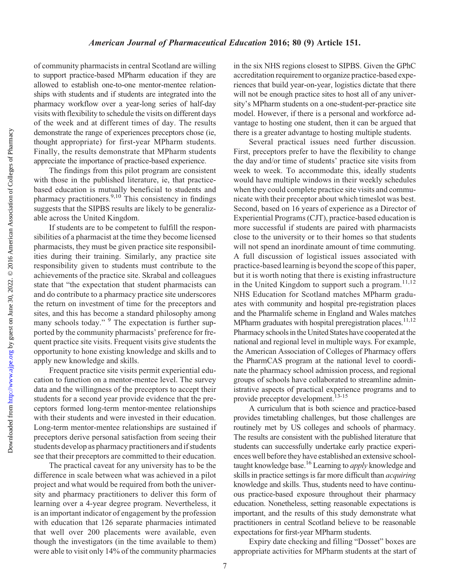Downloaded from

of community pharmacists in central Scotland are willing to support practice-based MPharm education if they are allowed to establish one-to-one mentor-mentee relationships with students and if students are integrated into the pharmacy workflow over a year-long series of half-day visits with flexibility to schedule the visits on different days of the week and at different times of day. The results demonstrate the range of experiences preceptors chose (ie, thought appropriate) for first-year MPharm students. Finally, the results demonstrate that MPharm students appreciate the importance of practice-based experience.

The findings from this pilot program are consistent with those in the published literature, ie, that practicebased education is mutually beneficial to students and pharmacy practitioners.<sup>9,10</sup> This consistency in findings suggests that the SIPBS results are likely to be generalizable across the United Kingdom.

If students are to be competent to fulfill the responsibilities of a pharmacist at the time they become licensed pharmacists, they must be given practice site responsibilities during their training. Similarly, any practice site responsibility given to students must contribute to the achievements of the practice site. Skrabal and colleagues state that "the expectation that student pharmacists can and do contribute to a pharmacy practice site underscores the return on investment of time for the preceptors and sites, and this has become a standard philosophy among many schools today."  $9$  The expectation is further supported by the community pharmacists' preference for frequent practice site visits. Frequent visits give students the opportunity to hone existing knowledge and skills and to apply new knowledge and skills.

Frequent practice site visits permit experiential education to function on a mentor-mentee level. The survey data and the willingness of the preceptors to accept their students for a second year provide evidence that the preceptors formed long-term mentor-mentee relationships with their students and were invested in their education. Long-term mentor-mentee relationships are sustained if preceptors derive personal satisfaction from seeing their students develop as pharmacy practitioners and if students see that their preceptors are committed to their education.

The practical caveat for any university has to be the difference in scale between what was achieved in a pilot project and what would be required from both the university and pharmacy practitioners to deliver this form of learning over a 4-year degree program. Nevertheless, it is an important indicator of engagement by the profession with education that 126 separate pharmacies intimated that well over 200 placements were available, even though the investigators (in the time available to them) were able to visit only 14% of the community pharmacies

in the six NHS regions closest to SIPBS. Given the GPhC accreditation requirement to organize practice-based experiences that build year-on-year, logistics dictate that there will not be enough practice sites to host all of any university's MPharm students on a one-student-per-practice site model. However, if there is a personal and workforce advantage to hosting one student, then it can be argued that there is a greater advantage to hosting multiple students.

Several practical issues need further discussion. First, preceptors prefer to have the flexibility to change the day and/or time of students' practice site visits from week to week. To accommodate this, ideally students would have multiple windows in their weekly schedules when they could complete practice site visits and communicate with their preceptor about which timeslot was best. Second, based on 16 years of experience as a Director of Experiential Programs (CJT), practice-based education is more successful if students are paired with pharmacists close to the university or to their homes so that students will not spend an inordinate amount of time commuting. A full discussion of logistical issues associated with practice-based learning is beyond the scope of this paper, but it is worth noting that there is existing infrastructure in the United Kingdom to support such a program. $11,12$ NHS Education for Scotland matches MPharm graduates with community and hospital pre-registration places and the Pharmalife scheme in England and Wales matches MPharm graduates with hospital preregistration places.<sup>11,12</sup> Pharmacy schools in the United States have cooperated at the national and regional level in multiple ways. For example, the American Association of Colleges of Pharmacy offers the PharmCAS program at the national level to coordinate the pharmacy school admission process, and regional groups of schools have collaborated to streamline administrative aspects of practical experience programs and to provide preceptor development.<sup>13-15</sup>

A curriculum that is both science and practice-based provides timetabling challenges, but those challenges are routinely met by US colleges and schools of pharmacy. The results are consistent with the published literature that students can successfully undertake early practice experiences well before they have established an extensive schooltaught knowledge base.<sup>16</sup> Learning to *apply* knowledge and skills in practice settings is far more difficult than acquiring knowledge and skills. Thus, students need to have continuous practice-based exposure throughout their pharmacy education. Nonetheless, setting reasonable expectations is important, and the results of this study demonstrate what practitioners in central Scotland believe to be reasonable expectations for first-year MPharm students.

Expiry date checking and filling "Dosset" boxes are appropriate activities for MPharm students at the start of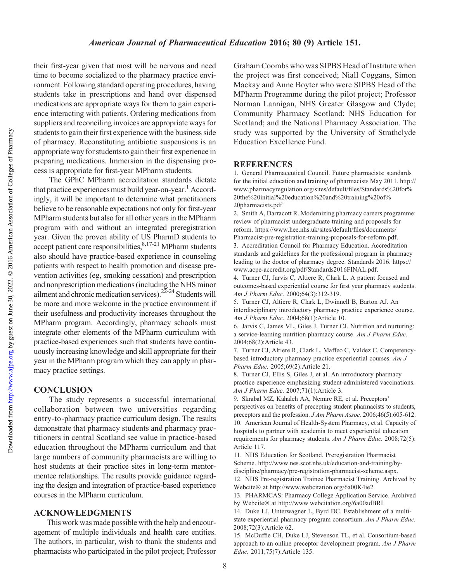Downloaded from

their first-year given that most will be nervous and need time to become socialized to the pharmacy practice environment. Following standard operating procedures, having students take in prescriptions and hand over dispensed medications are appropriate ways for them to gain experience interacting with patients. Ordering medications from suppliers and reconciling invoices are appropriate ways for students to gain their first experience with the business side of pharmacy. Reconstituting antibiotic suspensions is an appropriate way for students to gaintheir first experience in preparing medications. Immersion in the dispensing process is appropriate for first-year MPharm students.

The GPhC MPharm accreditation standards dictate that practice experiences must build year-on-year.<sup>1</sup> Accordingly, it will be important to determine what practitioners believe to be reasonable expectations not only for first-year MPharm students but also for all other years in the MPharm program with and without an integrated preregistration year. Given the proven ability of US PharmD students to  $\text{accept patient care responsibilities}, \text{8,17-21} \text{ MPharm students}$ also should have practice-based experience in counseling patients with respect to health promotion and disease prevention activities (eg, smoking cessation) and prescription and nonprescription medications (including the NHS minor ailment and chronic medication services).<sup>22-24</sup> Students will be more and more welcome in the practice environment if their usefulness and productivity increases throughout the MPharm program. Accordingly, pharmacy schools must integrate other elements of the MPharm curriculum with practice-based experiences such that students have continuously increasing knowledge and skill appropriate for their year in the MPharm program which they can apply in pharmacy practice settings.

### CONCLUSION

The study represents a successful international collaboration between two universities regarding entry-to-pharmacy practice curriculum design. The results demonstrate that pharmacy students and pharmacy practitioners in central Scotland see value in practice-based education throughout the MPharm curriculum and that large numbers of community pharmacists are willing to host students at their practice sites in long-term mentormentee relationships. The results provide guidance regarding the design and integration of practice-based experience courses in the MPharm curriculum.

## ACKNOWLEDGMENTS

This work was made possible with the help and encouragement of multiple individuals and health care entities. The authors, in particular, wish to thank the students and pharmacists who participated in the pilot project; Professor Graham Coombs who was SIPBS Head of Institute when the project was first conceived; Niall Coggans, Simon Mackay and Anne Boyter who were SIPBS Head of the MPharm Programme during the pilot project; Professor Norman Lannigan, NHS Greater Glasgow and Clyde; Community Pharmacy Scotland; NHS Education for Scotland; and the National Pharmacy Association. The study was supported by the University of Strathclyde Education Excellence Fund.

## **REFERENCES**

1. General Pharmaceutical Council. Future pharmacists: standards for the initial education and training of pharmacists May 2011. [http://](http://www.pharmacyregulation.org/sites/default/files/Standards%20for%20the%20initial%20education%20and%20training%20of%20pharmacists.pdf) [www.pharmacyregulation.org/sites/default/files/Standards%20for%](http://www.pharmacyregulation.org/sites/default/files/Standards%20for%20the%20initial%20education%20and%20training%20of%20pharmacists.pdf) [20the%20initial%20education%20and%20training%20of%](http://www.pharmacyregulation.org/sites/default/files/Standards%20for%20the%20initial%20education%20and%20training%20of%20pharmacists.pdf) [20pharmacists.pdf](http://www.pharmacyregulation.org/sites/default/files/Standards%20for%20the%20initial%20education%20and%20training%20of%20pharmacists.pdf).

2. Smith A, Darracott R. Modernizing pharmacy careers programme: review of pharmacist undergraduate training and proposals for reform. [https://www.hee.nhs.uk/sites/default/files/documents/](https://www.hee.nhs.uk/sites/default/files/documents/Pharmacist-pre-registration-training-proposals-for-reform.pdf) [Pharmacist-pre-registration-training-proposals-for-reform.pdf.](https://www.hee.nhs.uk/sites/default/files/documents/Pharmacist-pre-registration-training-proposals-for-reform.pdf)

3. Accreditation Council for Pharmacy Education. Accreditation standards and guidelines for the professional program in pharmacy leading to the doctor of pharmacy degree. Standards 2016. [https://](https://www.acpe-accredit.org/pdf/Standards2016FINAL.pdf) [www.acpe-accredit.org/pdf/Standards2016FINAL.pdf.](https://www.acpe-accredit.org/pdf/Standards2016FINAL.pdf)

4. Turner CJ, Jarvis C, Altiere R, Clark L. A patient focused and outcomes-based experiential course for first year pharmacy students. Am J Pharm Educ. 2000;64(3):312-319.

5. Turner CJ, Altiere R, Clark L, Dwinnell B, Barton AJ. An interdisciplinary introductory pharmacy practice experience course. Am J Pharm Educ. 2004;68(1):Article 10.

6. Jarvis C, James VL, Giles J, Turner CJ. Nutrition and nurturing: a service-learning nutrition pharmacy course. Am J Pharm Educ. 2004;68(2):Article 43.

7. Turner CJ, Altiere R, Clark L, Maffeo C, Valdez C. Competencybased introductory pharmacy practice experiential courses. Am J Pharm Educ. 2005;69(2):Article 21.

8. Turner CJ, Ellis S, Giles J, et al. An introductory pharmacy practice experience emphasizing student-administered vaccinations. Am J Pharm Educ. 2007;71(1):Article 3.

9. Skrabal MZ, Kahaleh AA, Nemire RE, et al. Preceptors' perspectives on benefits of precepting student pharmacists to students, preceptors and the profession. *J Am Pharm Assoc.* 2006;46(5):605-612. 10. American Journal of Health-System Pharmacy, et al. Capacity of hospitals to partner with academia to meet experiential education requirements for pharmacy students. Am J Pharm Educ. 2008;72(5): Article 117.

11. NHS Education for Scotland. Preregistration Pharmacist Scheme. [http://www.nes.scot.nhs.uk/education-and-training/by](http://www.nes.scot.nhs.uk/education-and-training/by-discipline/pharmacy/pre-registration-pharmacist-scheme.aspx)[discipline/pharmacy/pre-registration-pharmacist-scheme.aspx](http://www.nes.scot.nhs.uk/education-and-training/by-discipline/pharmacy/pre-registration-pharmacist-scheme.aspx). 12. NHS Pre-registration Trainee Pharmacist Training. Archived by

Webcite at<http://www.webcitation.org/6a00K4ie2>.

13. PHARMCAS: Pharmacy College Application Service. Archived by Webcite® at<http://www.webcitation.org/6a00adBRI>.

14. Duke LJ, Unterwagner L, Byrd DC. Establishment of a multistate experiential pharmacy program consortium. Am J Pharm Educ. 2008;72(3):Article 62.

15. McDuffie CH, Duke LJ, Stevenson TL, et al. Consortium-based approach to an online preceptor development program. Am J Pharm Educ. 2011;75(7):Article 135.